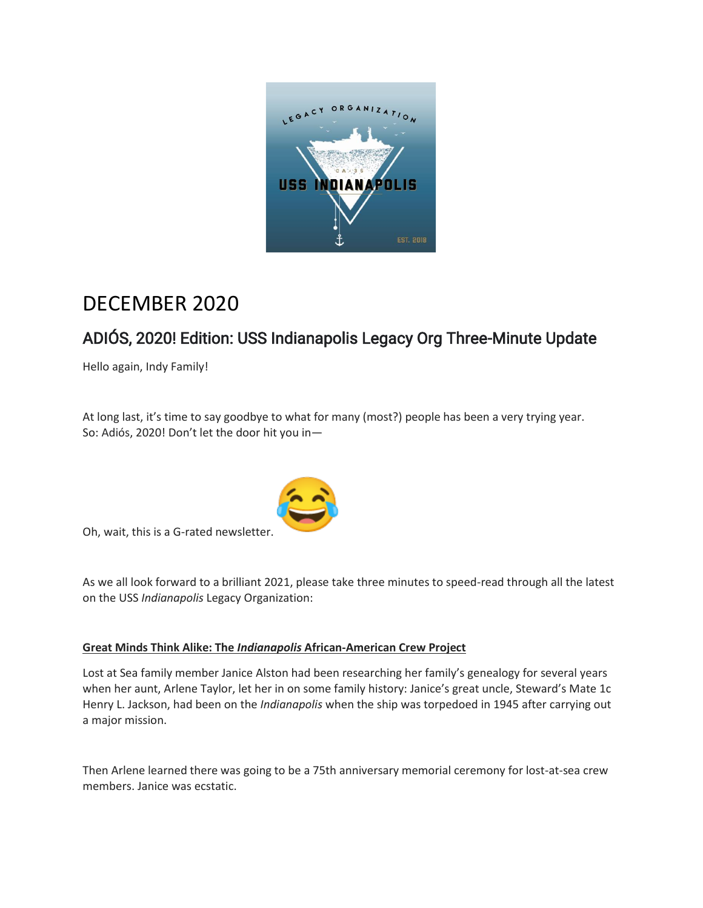

# DECEMBER 2020

# ADIÓS, 2020! Edition: USS Indianapolis Legacy Org Three-Minute Update

Hello again, Indy Family!

At long last, it's time to say goodbye to what for many (most?) people has been a very trying year. So: Adiós, 2020! Don't let the door hit you in—



Oh, wait, this is a G-rated newsletter.

As we all look forward to a brilliant 2021, please take three minutes to speed-read through all the latest on the USS *Indianapolis* Legacy Organization:

## **Great Minds Think Alike: The** *Indianapolis* **African-American Crew Project**

Lost at Sea family member Janice Alston had been researching her family's genealogy for several years when her aunt, Arlene Taylor, let her in on some family history: Janice's great uncle, Steward's Mate 1c Henry L. Jackson, had been on the *Indianapolis* when the ship was torpedoed in 1945 after carrying out a major mission.

Then Arlene learned there was going to be a 75th anniversary memorial ceremony for lost-at-sea crew members. Janice was ecstatic.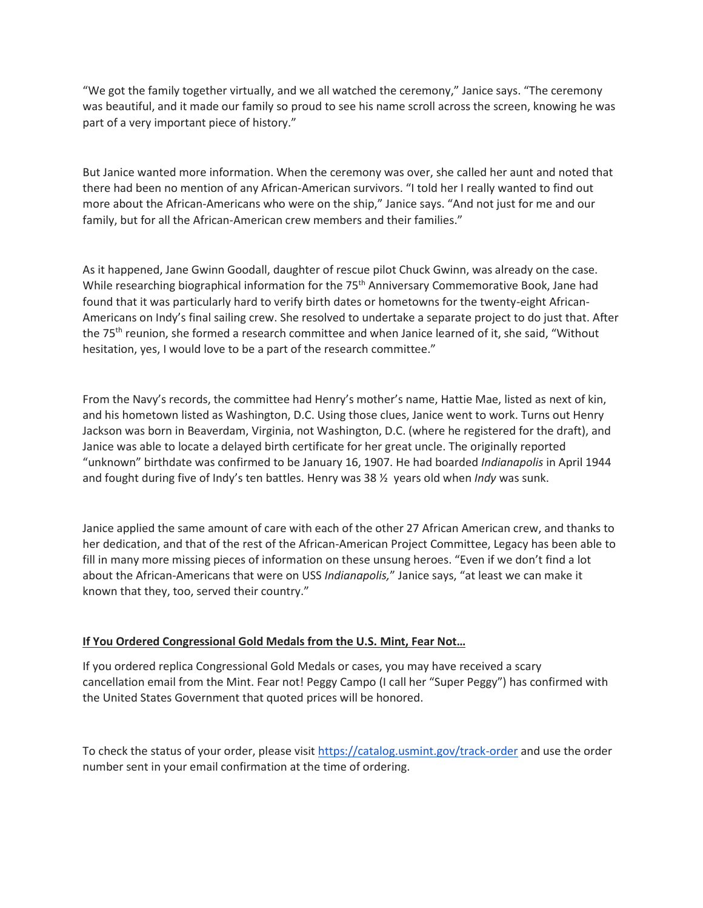"We got the family together virtually, and we all watched the ceremony," Janice says. "The ceremony was beautiful, and it made our family so proud to see his name scroll across the screen, knowing he was part of a very important piece of history."

But Janice wanted more information. When the ceremony was over, she called her aunt and noted that there had been no mention of any African-American survivors. "I told her I really wanted to find out more about the African-Americans who were on the ship," Janice says. "And not just for me and our family, but for all the African-American crew members and their families."

As it happened, Jane Gwinn Goodall, daughter of rescue pilot Chuck Gwinn, was already on the case. While researching biographical information for the 75<sup>th</sup> Anniversary Commemorative Book, Jane had found that it was particularly hard to verify birth dates or hometowns for the twenty-eight African-Americans on Indy's final sailing crew. She resolved to undertake a separate project to do just that. After the 75<sup>th</sup> reunion, she formed a research committee and when Janice learned of it, she said, "Without hesitation, yes, I would love to be a part of the research committee."

From the Navy's records, the committee had Henry's mother's name, Hattie Mae, listed as next of kin, and his hometown listed as Washington, D.C. Using those clues, Janice went to work. Turns out Henry Jackson was born in Beaverdam, Virginia, not Washington, D.C. (where he registered for the draft), and Janice was able to locate a delayed birth certificate for her great uncle. The originally reported "unknown" birthdate was confirmed to be January 16, 1907. He had boarded *Indianapolis* in April 1944 and fought during five of Indy's ten battles. Henry was 38 ½ years old when *Indy* was sunk.

Janice applied the same amount of care with each of the other 27 African American crew, and thanks to her dedication, and that of the rest of the African-American Project Committee, Legacy has been able to fill in many more missing pieces of information on these unsung heroes. "Even if we don't find a lot about the African-Americans that were on USS *Indianapolis,*" Janice says, "at least we can make it known that they, too, served their country."

#### **If You Ordered Congressional Gold Medals from the U.S. Mint, Fear Not…**

If you ordered replica Congressional Gold Medals or cases, you may have received a scary cancellation email from the Mint. Fear not! Peggy Campo (I call her "Super Peggy") has confirmed with the United States Government that quoted prices will be honored.

To check the status of your order, please visit <https://catalog.usmint.gov/track-order> and use the order number sent in your email confirmation at the time of ordering.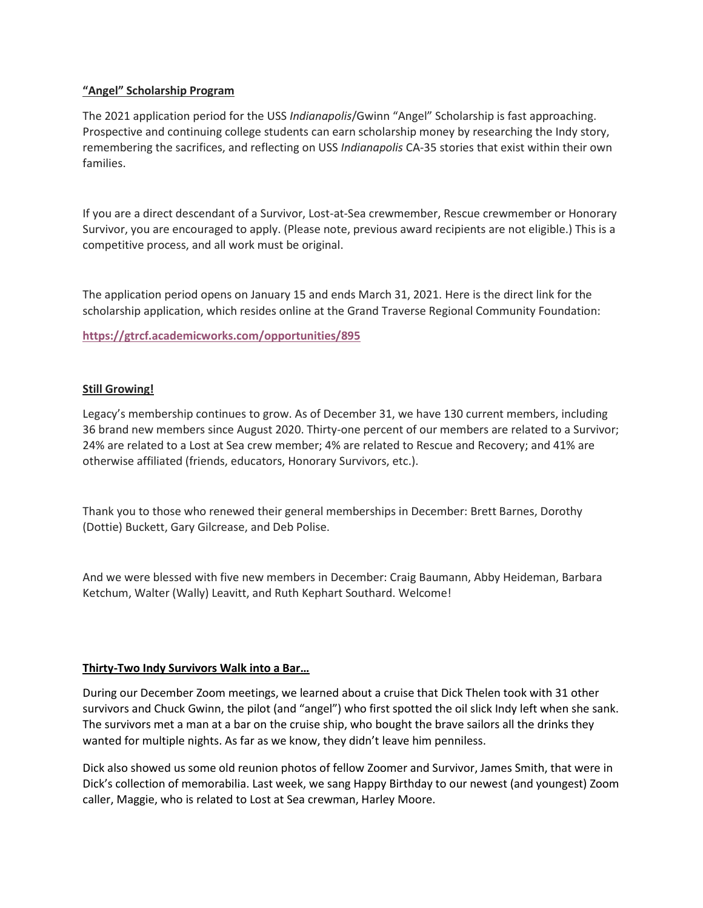#### **"Angel" Scholarship Program**

The 2021 application period for the USS *Indianapolis*/Gwinn "Angel" Scholarship is fast approaching. Prospective and continuing college students can earn scholarship money by researching the Indy story, remembering the sacrifices, and reflecting on USS *Indianapolis* CA-35 stories that exist within their own families.

If you are a direct descendant of a Survivor, Lost-at-Sea crewmember, Rescue crewmember or Honorary Survivor, you are encouraged to apply. (Please note, previous award recipients are not eligible.) This is a competitive process, and all work must be original.

The application period opens on January 15 and ends March 31, 2021. Here is the direct link for the scholarship application, which resides online at the Grand Traverse Regional Community Foundation:

**<https://gtrcf.academicworks.com/opportunities/895>**

### **Still Growing!**

Legacy's membership continues to grow. As of December 31, we have 130 current members, including 36 brand new members since August 2020. Thirty-one percent of our members are related to a Survivor; 24% are related to a Lost at Sea crew member; 4% are related to Rescue and Recovery; and 41% are otherwise affiliated (friends, educators, Honorary Survivors, etc.).

Thank you to those who renewed their general memberships in December: Brett Barnes, Dorothy (Dottie) Buckett, Gary Gilcrease, and Deb Polise.

And we were blessed with five new members in December: Craig Baumann, Abby Heideman, Barbara Ketchum, Walter (Wally) Leavitt, and Ruth Kephart Southard. Welcome!

#### **Thirty-Two Indy Survivors Walk into a Bar…**

During our December Zoom meetings, we learned about a cruise that Dick Thelen took with 31 other survivors and Chuck Gwinn, the pilot (and "angel") who first spotted the oil slick Indy left when she sank. The survivors met a man at a bar on the cruise ship, who bought the brave sailors all the drinks they wanted for multiple nights. As far as we know, they didn't leave him penniless.

Dick also showed us some old reunion photos of fellow Zoomer and Survivor, James Smith, that were in Dick's collection of memorabilia. Last week, we sang Happy Birthday to our newest (and youngest) Zoom caller, Maggie, who is related to Lost at Sea crewman, Harley Moore.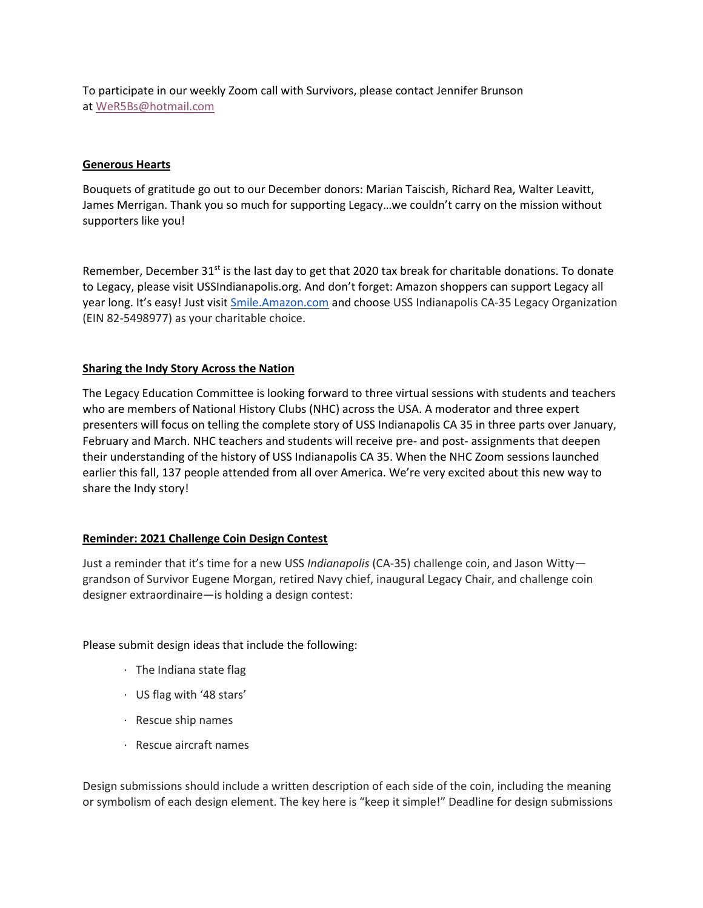To participate in our weekly Zoom call with Survivors, please contact Jennifer Brunson at [WeR5Bs@hotmail.com](mailto:WeR5Bs@hotmail.com)

#### **Generous Hearts**

Bouquets of gratitude go out to our December donors: Marian Taiscish, Richard Rea, Walter Leavitt, James Merrigan. Thank you so much for supporting Legacy…we couldn't carry on the mission without supporters like you!

Remember, December 31 $st$  is the last day to get that 2020 tax break for charitable donations. To donate to Legacy, please visit USSIndianapolis.org. And don't forget: Amazon shoppers can support Legacy all year long. It's easy! Just visit [Smile.Amazon.com](http://smile.amazon.com/) and choose USS Indianapolis CA-35 Legacy Organization (EIN 82-5498977) as your charitable choice.

#### **Sharing the Indy Story Across the Nation**

The Legacy Education Committee is looking forward to three virtual sessions with students and teachers who are members of National History Clubs (NHC) across the USA. A moderator and three expert presenters will focus on telling the complete story of USS Indianapolis CA 35 in three parts over January, February and March. NHC teachers and students will receive pre- and post- assignments that deepen their understanding of the history of USS Indianapolis CA 35. When the NHC Zoom sessions launched earlier this fall, 137 people attended from all over America. We're very excited about this new way to share the Indy story!

#### **Reminder: 2021 Challenge Coin Design Contest**

Just a reminder that it's time for a new USS *Indianapolis* (CA-35) challenge coin, and Jason Witty grandson of Survivor Eugene Morgan, retired Navy chief, inaugural Legacy Chair, and challenge coin designer extraordinaire—is holding a design contest:

#### Please submit design ideas that include the following:

- · The Indiana state flag
- · US flag with '48 stars'
- · Rescue ship names
- · Rescue aircraft names

Design submissions should include a written description of each side of the coin, including the meaning or symbolism of each design element. The key here is "keep it simple!" Deadline for design submissions